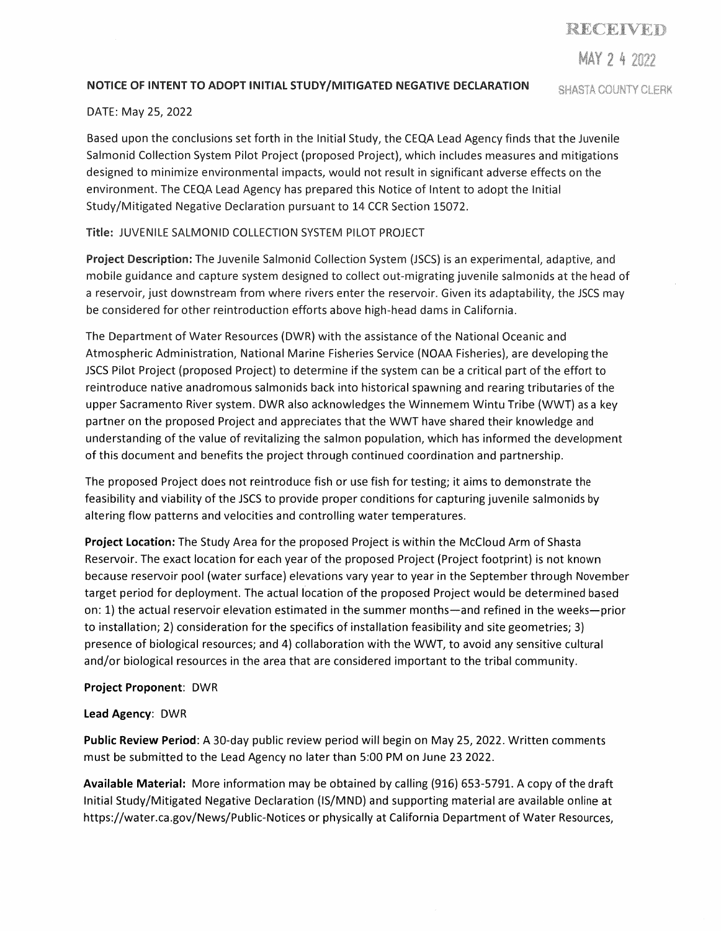**MAY 2 4** 

# NOTICE OF INTENT TO ADOPT INITIAL **STUDY/MITIGATED** NEGATIVE DECLARATION

**SHASTA COUNTY CLERK** 

## DATE: May 25, 2022

Based upon the conclusions set forth in the Initial Study, the CEQA Lead Agency finds that the Juvenile Salmonid Collection System Pilot Project (proposed Project), which includes measures and mitigations designed to minimize environmental impacts, would not result in significant adverse effects on the environment. The CEQA Lead Agency has prepared this Notice of Intent to adopt the Initial Study/Mitigated Negative Declaration pursuant to 14 CCR Section 15072.

# Title: JUVENILE SALMONID COLLECTION SYSTEM PILOT PROJECT

**Project Description:** The Juvenile Salmonid Collection System (JSCS) is an experimental, adaptive, and mobile guidance and capture system designed to collect out-migrating juvenile salmonids at the head of a reservoir, just downstream from where rivers enter the reservoir. Given its adaptability, the JSCS may be considered for other reintroduction efforts above high-head dams in California.

The Department of Water Resources (DWR) with the assistance of the National Oceanic and Atmospheric Administration, National Marine Fisheries Service (NOAA Fisheries), are developing the JSCS Pilot Project (proposed Project) to determine if the system can be a critical part of the effort to reintroduce native anadromous salmonids back into historical spawning and rearing tributaries of the upper Sacramento River system. DWR also acknowledges the Winnemem Wintu Tribe (WWT) as a key partner on the proposed Project and appreciates that the WWT have shared their knowledge and understanding of the value of revitalizing the salmon population, which has informed the development of this document and benefits the project through continued coordination and partnership.

The proposed Project does not reintroduce fish or use fish for testing; it aims to demonstrate the feasibility and viability of the JSCS to provide proper conditions for capturing juvenile salmonids by altering flow patterns and velocities and controlling water temperatures.

**Project Location:** The Study Area for the proposed Project is within the Mccloud Arm of Shasta Reservoir. The exact location for each year of the proposed Project (Project footprint) is not known because reservoir pool (water surface) elevations vary year to year in the September through November target period for deployment. The actual location of the proposed Project would be determined based on: 1) the actual reservoir elevation estimated in the summer months—and refined in the weeks—prior to installation; 2) consideration for the specifics of installation feasibility and site geometries; 3) presence of biological resources; and 4) collaboration with the WWT, to avoid any sensitive cultural and/or biological resources in the area that are considered important to the tribal community.

# **Project Proponent:** DWR

# **Lead Agency:** DWR

**Public Review Period:** A 30-day public review period will begin on May 25, 2022. Written comments must be submitted to the Lead Agency no later than 5:00 PM on June 23 2022.

**Available Material:** More information may be obtained by calling (916) 653-5791. A copy of the draft Initial Study/Mitigated Negative Declaration (IS/MND) and supporting material are available online at https://water.ca.gov/News/Public-Notices or physically at California Department of Water Resources,